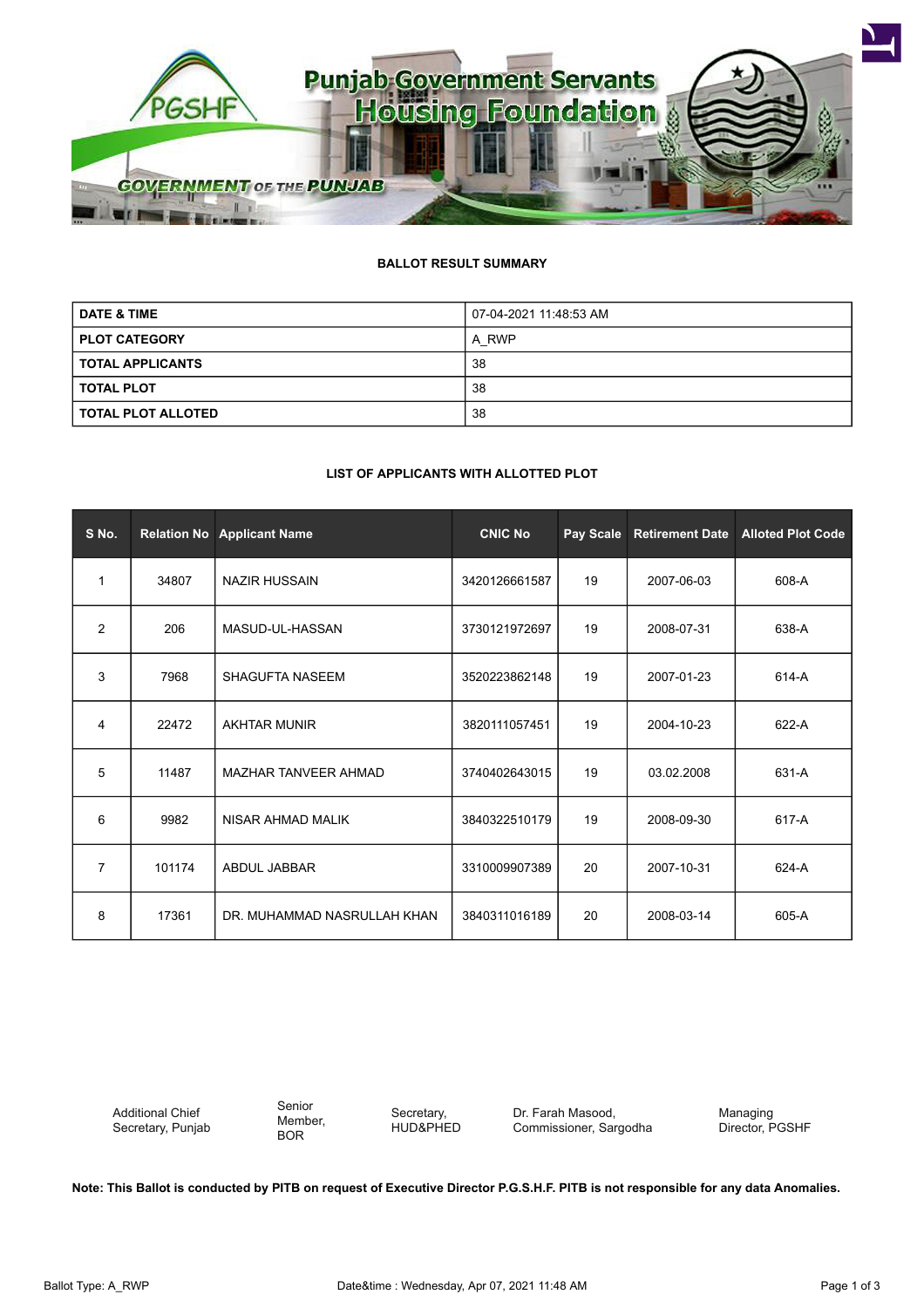

## **BALLOT RESULT SUMMARY**

| <b>DATE &amp; TIME</b>    | 07-04-2021 11:48:53 AM |  |  |
|---------------------------|------------------------|--|--|
| <b>PLOT CATEGORY</b>      | A RWP                  |  |  |
| <b>TOTAL APPLICANTS</b>   | 38                     |  |  |
| <b>TOTAL PLOT</b>         | 38                     |  |  |
| <b>TOTAL PLOT ALLOTED</b> | 38                     |  |  |

## **LIST OF APPLICANTS WITH ALLOTTED PLOT**

| S No.          |        | <b>Relation No Applicant Name</b> | <b>CNIC No</b> | Pay Scale | <b>Retirement Date</b> | <b>Alloted Plot Code</b> |
|----------------|--------|-----------------------------------|----------------|-----------|------------------------|--------------------------|
| $\mathbf{1}$   | 34807  | <b>NAZIR HUSSAIN</b>              | 3420126661587  | 19        | 2007-06-03             | 608-A                    |
| 2              | 206    | MASUD-UL-HASSAN                   | 3730121972697  | 19        | 2008-07-31             | 638-A                    |
| 3              | 7968   | <b>SHAGUFTA NASEEM</b>            | 3520223862148  | 19        | 2007-01-23             | 614-A                    |
| 4              | 22472  | <b>AKHTAR MUNIR</b>               | 3820111057451  | 19        | 2004-10-23             | 622-A                    |
| 5              | 11487  | <b>MAZHAR TANVEER AHMAD</b>       | 3740402643015  | 19        | 03.02.2008             | 631-A                    |
| 6              | 9982   | NISAR AHMAD MALIK                 | 3840322510179  | 19        | 2008-09-30             | 617-A                    |
| $\overline{7}$ | 101174 | <b>ABDUL JABBAR</b>               | 3310009907389  | 20        | 2007-10-31             | 624-A                    |
| 8              | 17361  | DR. MUHAMMAD NASRULLAH KHAN       | 3840311016189  | 20        | 2008-03-14             | 605-A                    |

Additional Chief Secretary, Punjab Senior Member, BOR

Secretary, HUD&PHED Dr. Farah Masood, Commissioner, Sargodha

Managing Director, PGSHF

**Note: This Ballot is conducted by PITB on request of Executive Director P.G.S.H.F. PITB is not responsible for any data Anomalies.**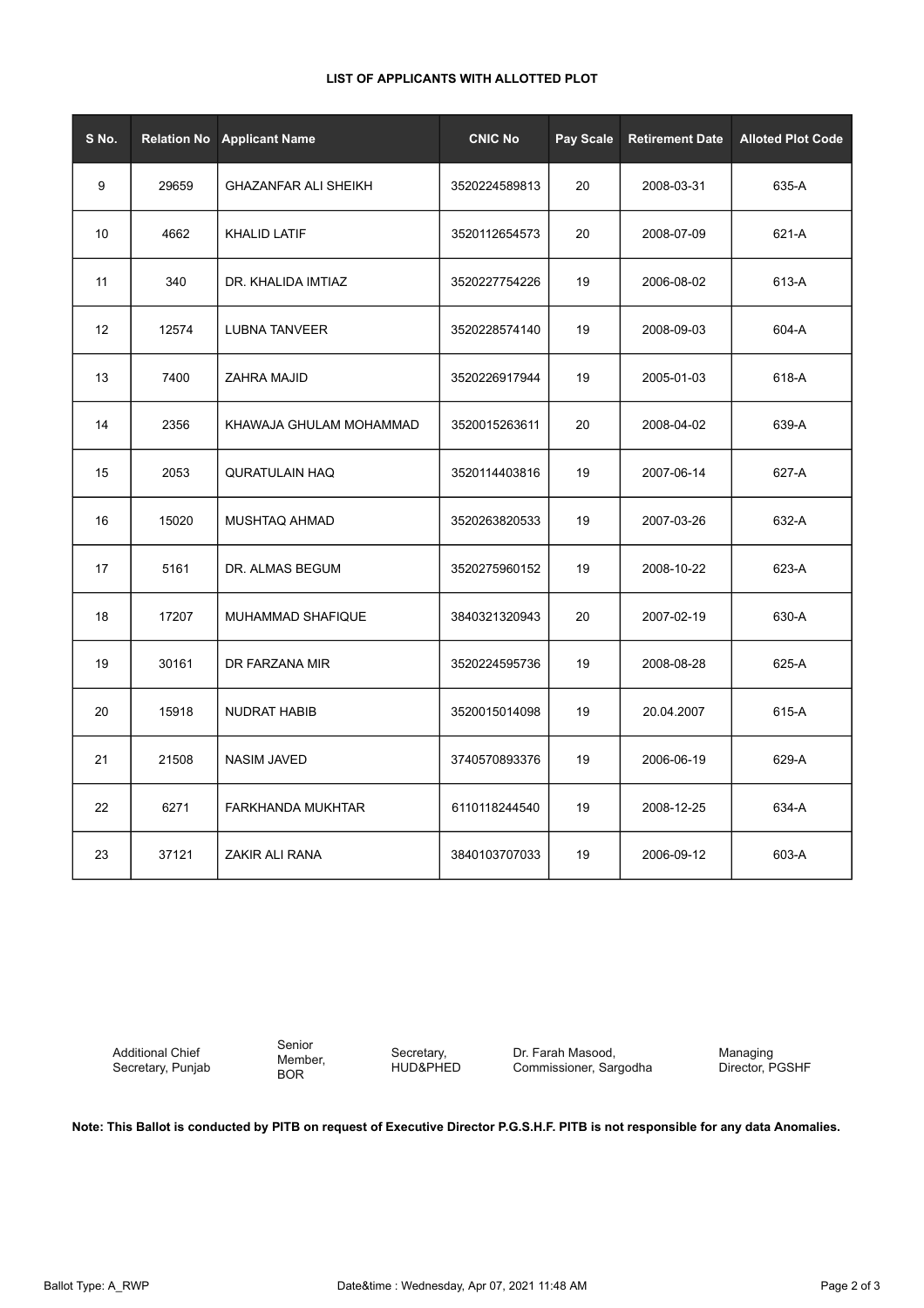## **LIST OF APPLICANTS WITH ALLOTTED PLOT**

| S No. | <b>Relation No</b> | <b>Applicant Name</b>       | <b>CNIC No</b> | Pay Scale | <b>Retirement Date</b> | <b>Alloted Plot Code</b> |
|-------|--------------------|-----------------------------|----------------|-----------|------------------------|--------------------------|
| 9     | 29659              | <b>GHAZANFAR ALI SHEIKH</b> | 3520224589813  | 20        | 2008-03-31             | 635-A                    |
| 10    | 4662               | <b>KHALID LATIF</b>         | 3520112654573  | 20        | 2008-07-09             | 621-A                    |
| 11    | 340                | DR. KHALIDA IMTIAZ          | 3520227754226  | 19        | 2006-08-02             | 613-A                    |
| 12    | 12574              | <b>LUBNA TANVEER</b>        | 3520228574140  | 19        | 2008-09-03             | 604-A                    |
| 13    | 7400               | ZAHRA MAJID                 | 3520226917944  | 19        | 2005-01-03             | 618-A                    |
| 14    | 2356               | KHAWAJA GHULAM MOHAMMAD     | 3520015263611  | 20        | 2008-04-02             | 639-A                    |
| 15    | 2053               | <b>QURATULAIN HAQ</b>       | 3520114403816  | 19        | 2007-06-14             | 627-A                    |
| 16    | 15020              | MUSHTAQ AHMAD               | 3520263820533  | 19        | 2007-03-26             | 632-A                    |
| 17    | 5161               | DR. ALMAS BEGUM             | 3520275960152  | 19        | 2008-10-22             | 623-A                    |
| 18    | 17207              | MUHAMMAD SHAFIQUE           | 3840321320943  | 20        | 2007-02-19             | 630-A                    |
| 19    | 30161              | DR FARZANA MIR              | 3520224595736  | 19        | 2008-08-28             | 625-A                    |
| 20    | 15918              | <b>NUDRAT HABIB</b>         | 3520015014098  | 19        | 20.04.2007             | 615-A                    |
| 21    | 21508              | <b>NASIM JAVED</b>          | 3740570893376  | 19        | 2006-06-19             | 629-A                    |
| 22    | 6271               | FARKHANDA MUKHTAR           | 6110118244540  | 19        | 2008-12-25             | 634-A                    |
| 23    | 37121              | ZAKIR ALI RANA              | 3840103707033  | 19        | 2006-09-12             | 603-A                    |

Additional Chief Secretary, Punjab

Senior Member, BOR

Secretary, HUD&PHED

Dr. Farah Masood, Commissioner, Sargodha Managing Director, PGSHF

**Note: This Ballot is conducted by PITB on request of Executive Director P.G.S.H.F. PITB is not responsible for any data Anomalies.**